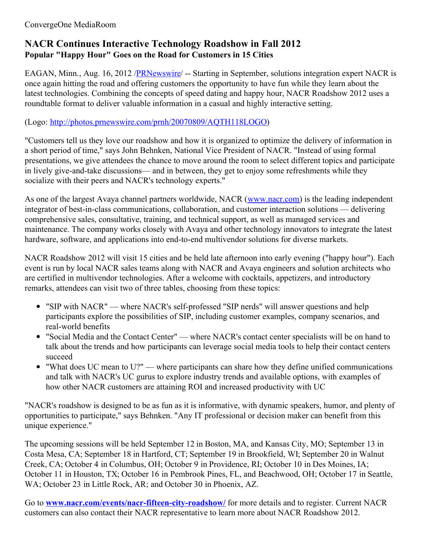## ConvergeOne MediaRoom

# **NACR Continues Interactive Technology Roadshow in Fall 2012 Popular "Happy Hour" Goes on the Road for Customers in 15 Cities**

EAGAN, Minn., Aug. 16, 2012 [/PRNewswire](http://www.prnewswire.com/)/ -- Starting in September, solutions integration expert NACR is once again hitting the road and offering customers the opportunity to have fun while they learn about the latest technologies. Combining the concepts of speed dating and happy hour, NACR Roadshow 2012 uses a roundtable format to deliver valuable information in a casual and highly interactive setting.

# (Logo: <http://photos.prnewswire.com/prnh/20070809/AQTH118LOGO>)

"Customers tell us they love our roadshow and how it is organized to optimize the delivery of information in a short period of time," says John Behnken, National Vice President of NACR. "Instead of using formal presentations, we give attendees the chance to move around the room to select different topics and participate in lively give-and-take discussions— and in between, they get to enjoy some refreshments while they socialize with their peers and NACR's technology experts."

As one of the largest Avaya channel partners worldwide, NACR ([www.nacr.com](http://www.nacr.com/)) is the leading independent integrator of best-in-class communications, collaboration, and customer interaction solutions — delivering comprehensive sales, consultative, training, and technical support, as well as managed services and maintenance. The company works closely with Avaya and other technology innovators to integrate the latest hardware, software, and applications into end-to-end multivendor solutions for diverse markets.

NACR Roadshow 2012 will visit 15 cities and be held late afternoon into early evening ("happy hour"). Each event is run by local NACR sales teams along with NACR and Avaya engineers and solution architects who are certified in multivendor technologies. After a welcome with cocktails, appetizers, and introductory remarks, attendees can visit two of three tables, choosing from these topics:

- "SIP with NACR" where NACR's self-professed "SIP nerds" will answer questions and help participants explore the possibilities of SIP, including customer examples, company scenarios, and real-world benefits
- "Social Media and the Contact Center" where NACR's contact center specialists will be on hand to talk about the trends and how participants can leverage social media tools to help their contact centers succeed
- "What does UC mean to U?" where participants can share how they define unified communications and talk with NACR's UC gurus to explore industry trends and available options, with examples of how other NACR customers are attaining ROI and increased productivity with UC

"NACR's roadshow is designed to be as fun as it is informative, with dynamic speakers, humor, and plenty of opportunities to participate," says Behnken. "Any IT professional or decision maker can benefit from this unique experience."

The upcoming sessions will be held September 12 in Boston, MA, and Kansas City, MO; September 13 in Costa Mesa, CA; September 18 in Hartford, CT; September 19 in Brookfield, WI; September 20 in Walnut Creek, CA; October 4 in Columbus, OH; October 9 in Providence, RI; October 10 in Des Moines, IA; October 11 in Houston, TX; October 16 in Pembrook Pines, FL, and Beachwood, OH; October 17 in Seattle, WA; October 23 in Little Rock, AR; and October 30 in Phoenix, AZ.

Go to **[www.nacr.com/events/nacr-fifteen-city-roadshow/](http://www.nacr.com/events/nacr-fifteen-city-roadshow/)** for more details and to register. Current NACR customers can also contact their NACR representative to learn more about NACR Roadshow 2012.